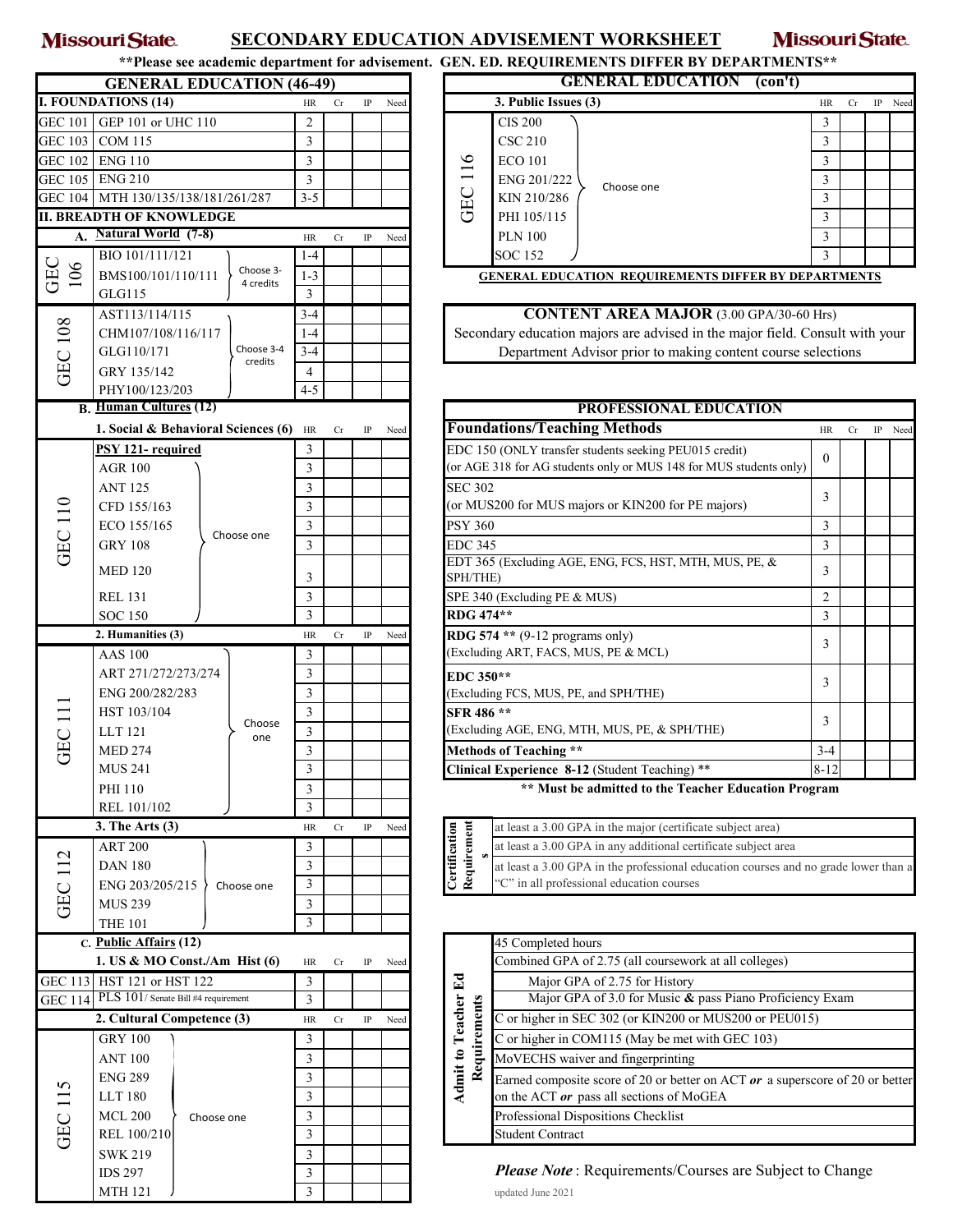## Missouri State. **SECONDARY EDUCATION ADVISEMENT WORKSHEET**

Missouri State.

| **Please see academic department for advisement. GEN. ED. REQUIREMENTS DIFFER BY DEPARTMENTS** |
|------------------------------------------------------------------------------------------------|
|                                                                                                |

|                   | <b>GENERAL EDUCATION (46-49)</b>                                |                |    |          |      |                                                   | <b>GENERAL EDUCATION</b><br>(con't)                                                 |                |    |    |      |
|-------------------|-----------------------------------------------------------------|----------------|----|----------|------|---------------------------------------------------|-------------------------------------------------------------------------------------|----------------|----|----|------|
|                   | <b>I. FOUNDATIONS (14)</b>                                      | HR             | Cr | IP       | Need |                                                   | 3. Public Issues (3)                                                                | HR             | Cr | IP | Need |
| GEC 101           | GEP 101 or UHC 110                                              | $\overline{c}$ |    |          |      |                                                   | <b>CIS 200</b>                                                                      | 3              |    |    |      |
| <b>GEC 103</b>    | <b>COM 115</b>                                                  | 3              |    |          |      |                                                   | <b>CSC 210</b>                                                                      | 3              |    |    |      |
| <b>GEC 102</b>    | <b>ENG 110</b>                                                  | 3              |    |          |      |                                                   | <b>ECO 101</b>                                                                      | 3              |    |    |      |
|                   | GEC 105 ENG 210                                                 | $\mathfrak{Z}$ |    |          |      | GEC 116                                           | ENG 201/222                                                                         | 3              |    |    |      |
|                   | GEC 104 MTH 130/135/138/181/261/287                             | $3 - 5$        |    |          |      |                                                   | Choose one<br>KIN 210/286                                                           | $\mathfrak{Z}$ |    |    |      |
|                   |                                                                 |                |    |          |      |                                                   |                                                                                     |                |    |    |      |
|                   | <b>II. BREADTH OF KNOWLEDGE</b><br><b>Natural World</b> (7-8)   |                |    |          |      |                                                   | PHI 105/115                                                                         | 3              |    |    |      |
| А.                |                                                                 | HR             | Cr | IP       | Need |                                                   | <b>PLN 100</b>                                                                      | 3              |    |    |      |
|                   | BIO 101/111/121<br>Choose 3-<br>BMS100/101/110/111<br>4 credits | $1 - 4$        |    |          |      |                                                   | <b>SOC 152</b>                                                                      | 3              |    |    |      |
| GEC<br>106        |                                                                 | $1 - 3$        |    |          |      |                                                   | <b>GENERAL EDUCATION REQUIREMENTS DIFFER BY DEPARTMENTS</b>                         |                |    |    |      |
|                   | GLG115                                                          | 3              |    |          |      |                                                   |                                                                                     |                |    |    |      |
|                   | AST113/114/115                                                  | $3 - 4$        |    |          |      |                                                   | <b>CONTENT AREA MAJOR</b> (3.00 GPA/30-60 Hrs)                                      |                |    |    |      |
| <b>GEC 108</b>    | CHM107/108/116/117                                              | $1 - 4$        |    |          |      |                                                   | Secondary education majors are advised in the major field. Consult with your        |                |    |    |      |
|                   | Choose 3-4<br>GLG110/171                                        | $3 - 4$        |    |          |      |                                                   | Department Advisor prior to making content course selections                        |                |    |    |      |
|                   | credits<br>GRY 135/142                                          | 4              |    |          |      |                                                   |                                                                                     |                |    |    |      |
|                   | PHY100/123/203                                                  | $4 - 5$        |    |          |      |                                                   |                                                                                     |                |    |    |      |
|                   | <b>B.</b> Human Cultures (12)                                   |                |    |          |      |                                                   | PROFESSIONAL EDUCATION                                                              |                |    |    |      |
|                   | 1. Social & Behavioral Sciences (6)                             |                |    | $\rm IP$ |      |                                                   | <b>Foundations/Teaching Methods</b>                                                 | HR             | Cr | IP | Need |
|                   |                                                                 | HR             | Cr |          | Need |                                                   |                                                                                     |                |    |    |      |
|                   | PSY 121- required                                               | 3              |    |          |      |                                                   | EDC 150 (ONLY transfer students seeking PEU015 credit)                              | $\overline{0}$ |    |    |      |
|                   | <b>AGR 100</b>                                                  | 3              |    |          |      |                                                   | (or AGE 318 for AG students only or MUS 148 for MUS students only)                  |                |    |    |      |
|                   | <b>ANT 125</b>                                                  | 3              |    |          |      | <b>SEC 302</b>                                    |                                                                                     | 3              |    |    |      |
|                   | CFD 155/163                                                     | $\mathfrak{Z}$ |    |          |      |                                                   | (or MUS200 for MUS majors or KIN200 for PE majors)                                  |                |    |    |      |
| <b>GEC 110</b>    | ECO 155/165<br>Choose one                                       | $\mathfrak{Z}$ |    |          |      | <b>PSY 360</b>                                    |                                                                                     | 3              |    |    |      |
|                   | <b>GRY 108</b>                                                  | 3              |    |          |      | <b>EDC 345</b>                                    |                                                                                     | $\mathfrak{Z}$ |    |    |      |
|                   |                                                                 |                |    |          |      |                                                   | EDT 365 (Excluding AGE, ENG, FCS, HST, MTH, MUS, PE, &                              |                |    |    |      |
|                   | <b>MED 120</b>                                                  | 3              |    |          |      | SPH/THE)                                          |                                                                                     | 3              |    |    |      |
|                   | <b>REL 131</b>                                                  | 3              |    |          |      |                                                   | SPE 340 (Excluding PE & MUS)                                                        | 2              |    |    |      |
|                   | <b>SOC 150</b>                                                  | 3              |    |          |      | RDG 474**                                         |                                                                                     | 3              |    |    |      |
|                   | 2. Humanities (3)                                               | <b>HR</b>      | Cr | $\rm IP$ | Need |                                                   | RDG 574 ** $(9-12$ programs only)                                                   |                |    |    |      |
|                   | <b>AAS 100</b>                                                  | 3              |    |          |      |                                                   | (Excluding ART, FACS, MUS, PE & MCL)                                                | 3              |    |    |      |
|                   | ART 271/272/273/274                                             | 3              |    |          |      | EDC 350**                                         |                                                                                     |                |    |    |      |
|                   | ENG 200/282/283                                                 | $\mathfrak{Z}$ |    |          |      |                                                   | (Excluding FCS, MUS, PE, and SPH/THE)                                               | 3              |    |    |      |
|                   | HST 103/104                                                     | $\mathfrak{Z}$ |    |          |      | SFR 486 **                                        |                                                                                     |                |    |    |      |
| GEC <sub>11</sub> | Choose<br>LLT 121<br>one                                        |                |    |          |      |                                                   |                                                                                     | 3              |    |    |      |
|                   |                                                                 | $\mathfrak{Z}$ |    |          |      |                                                   | (Excluding AGE, ENG, MTH, MUS, PE, & SPH/THE)                                       |                |    |    |      |
|                   | <b>MED 274</b>                                                  | 3              |    |          |      |                                                   | Methods of Teaching **                                                              | $3 - 4$        |    |    |      |
|                   | <b>MUS 241</b>                                                  | 3              |    |          |      |                                                   | Clinical Experience 8-12 (Student Teaching) **                                      | $8 - 12$       |    |    |      |
|                   | PHI 110                                                         | 3              |    |          |      |                                                   | ** Must be admitted to the Teacher Education Program                                |                |    |    |      |
|                   | REL 101/102                                                     | 3              |    |          |      |                                                   |                                                                                     |                |    |    |      |
|                   | 3. The Arts $(3)$                                               | HR             | Cr | $\rm IP$ | Need |                                                   | at least a 3.00 GPA in the major (certificate subject area)                         |                |    |    |      |
|                   | <b>ART 200</b>                                                  | 3              |    |          |      | Certification<br>Requirement                      | at least a 3.00 GPA in any additional certificate subject area                      |                |    |    |      |
| <b>GEC 112</b>    | <b>DAN 180</b>                                                  | 3              |    |          |      |                                                   | at least a 3.00 GPA in the professional education courses and no grade lower than a |                |    |    |      |
|                   | ENG 203/205/215<br>Choose one                                   | 3              |    |          |      |                                                   | 'C" in all professional education courses                                           |                |    |    |      |
|                   | <b>MUS 239</b>                                                  | 3              |    |          |      |                                                   |                                                                                     |                |    |    |      |
|                   | <b>THE 101</b>                                                  | 3              |    |          |      |                                                   |                                                                                     |                |    |    |      |
|                   | C. Public Affairs (12)                                          |                |    |          |      |                                                   | 45 Completed hours                                                                  |                |    |    |      |
|                   |                                                                 |                |    |          |      |                                                   |                                                                                     |                |    |    |      |
|                   | 1. US & MO Const./Am Hist $(6)$                                 | HR             | Cr | IP       | Need |                                                   | Combined GPA of 2.75 (all coursework at all colleges)                               |                |    |    |      |
|                   | GEC 113 HST 121 or HST 122                                      | 3              |    |          |      |                                                   | Major GPA of 2.75 for History                                                       |                |    |    |      |
| <b>GEC 114</b>    | PLS 101/Senate Bill #4 requirement                              | 3              |    |          |      |                                                   | Major GPA of 3.0 for Music & pass Piano Proficiency Exam                            |                |    |    |      |
|                   | 2. Cultural Competence (3)<br><b>GRY 100</b>                    |                | Cr | $\rm IP$ | Need |                                                   | C or higher in SEC 302 (or KIN200 or MUS200 or PEU015)                              |                |    |    |      |
|                   |                                                                 |                |    |          |      |                                                   | C or higher in COM115 (May be met with GEC 103)                                     |                |    |    |      |
|                   | <b>ANT 100</b><br><b>ENG 289</b>                                | 3              |    |          |      | Requirements<br>MoVECHS waiver and fingerprinting |                                                                                     |                |    |    |      |
| <b>GEC 115</b>    |                                                                 | 3              |    |          |      | <b>Admit to Teacher Ed</b>                        | Earned composite score of 20 or better on ACT $or$ a superscore of 20 or better     |                |    |    |      |
|                   | <b>LLT 180</b><br><b>MCL 200</b>                                |                |    |          |      |                                                   | on the ACT or pass all sections of MoGEA                                            |                |    |    |      |
|                   |                                                                 |                |    |          |      |                                                   | Professional Dispositions Checklist                                                 |                |    |    |      |
|                   | Choose one<br>REL 100/210                                       | 3<br>3         |    |          |      |                                                   | Student Contract                                                                    |                |    |    |      |
|                   | <b>SWK 219</b><br><b>IDS 297</b>                                |                |    |          |      |                                                   |                                                                                     |                |    |    |      |
|                   |                                                                 |                |    |          |      |                                                   |                                                                                     |                |    |    |      |
|                   |                                                                 |                |    |          |      |                                                   | Please Note: Requirements/Courses are Subject to Change                             |                |    |    |      |
|                   | <b>MTH 121</b>                                                  | 3              |    |          |      |                                                   | updated June 2021                                                                   |                |    |    |      |